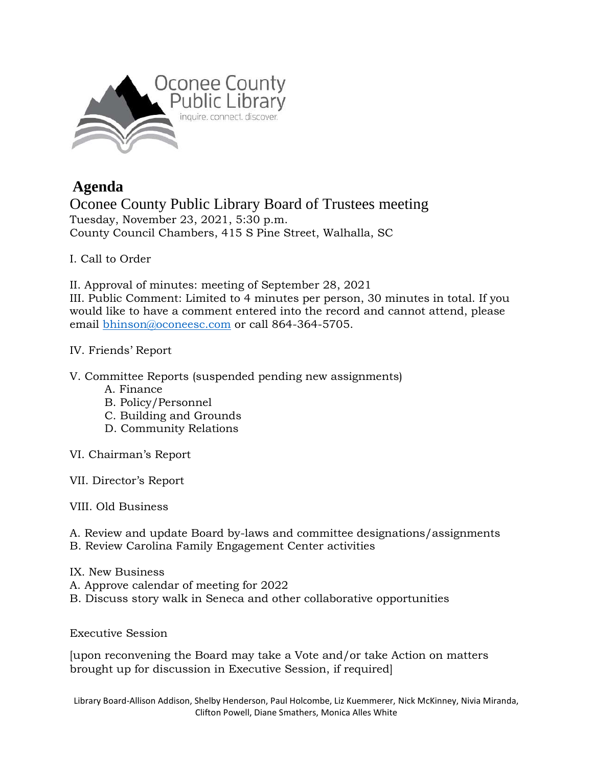

## **Agenda**

Oconee County Public Library Board of Trustees meeting Tuesday, November 23, 2021, 5:30 p.m. County Council Chambers, 415 S Pine Street, Walhalla, SC

## I. Call to Order

II. Approval of minutes: meeting of September 28, 2021

III. Public Comment: Limited to 4 minutes per person, 30 minutes in total. If you would like to have a comment entered into the record and cannot attend, please email [bhinson@oconeesc.com](mailto:bhinson@oconeesc.com) or call 864-364-5705.

## IV. Friends' Report

V. Committee Reports (suspended pending new assignments)

- A. Finance
- B. Policy/Personnel
- C. Building and Grounds
- D. Community Relations
- VI. Chairman's Report
- VII. Director's Report

VIII. Old Business

- A. Review and update Board by-laws and committee designations/assignments
- B. Review Carolina Family Engagement Center activities
- IX. New Business
- A. Approve calendar of meeting for 2022
- B. Discuss story walk in Seneca and other collaborative opportunities

Executive Session

[upon reconvening the Board may take a Vote and/or take Action on matters brought up for discussion in Executive Session, if required]

Library Board-Allison Addison, Shelby Henderson, Paul Holcombe, Liz Kuemmerer, Nick McKinney, Nivia Miranda, Clifton Powell, Diane Smathers, Monica Alles White